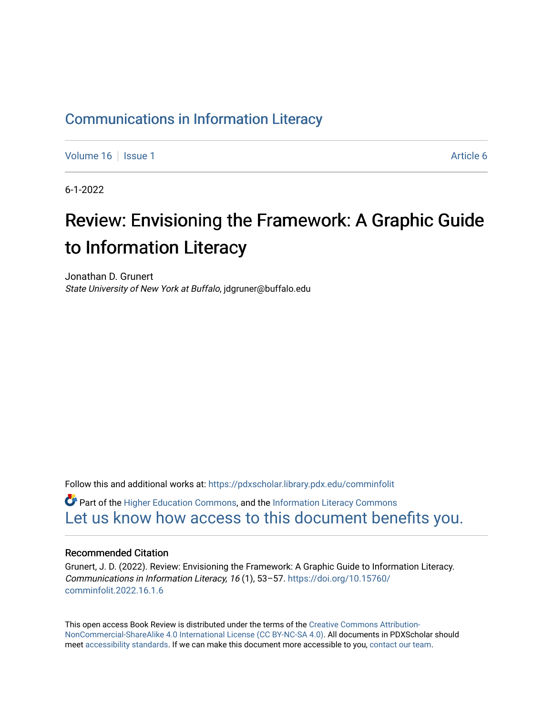### [Communications in Information Literacy](https://pdxscholar.library.pdx.edu/comminfolit)

[Volume 16](https://pdxscholar.library.pdx.edu/comminfolit/vol16) September 19 | [Issue 1](https://pdxscholar.library.pdx.edu/comminfolit/vol16/iss1) Article 6

6-1-2022

# Review: Envisioning the Framework: A Graphic Guide to Information Literacy

Jonathan D. Grunert State University of New York at Buffalo, jdgruner@buffalo.edu

Follow this and additional works at: [https://pdxscholar.library.pdx.edu/comminfolit](https://pdxscholar.library.pdx.edu/comminfolit?utm_source=pdxscholar.library.pdx.edu%2Fcomminfolit%2Fvol16%2Fiss1%2F6&utm_medium=PDF&utm_campaign=PDFCoverPages)   $\bullet$  Part of the [Higher Education Commons,](https://network.bepress.com/hgg/discipline/1245?utm_source=pdxscholar.library.pdx.edu%2Fcomminfolit%2Fvol16%2Fiss1%2F6&utm_medium=PDF&utm_campaign=PDFCoverPages) and the Information Literacy Commons

### [Let us know how access to this document benefits you.](http://library.pdx.edu/services/pdxscholar-services/pdxscholar-feedback/)

#### Recommended Citation

Grunert, J. D. (2022). Review: Envisioning the Framework: A Graphic Guide to Information Literacy. Communications in Information Literacy, 16 (1), 53–57. [https://doi.org/10.15760/](https://doi.org/10.15760/comminfolit.2022.16.1.6) [comminfolit.2022.16.1.6](https://doi.org/10.15760/comminfolit.2022.16.1.6)

This open access Book Review is distributed under the terms of the [Creative Commons Attribution-](https://creativecommons.org/licenses/by-nc-sa/4.0/)[NonCommercial-ShareAlike 4.0 International License \(CC BY-NC-SA 4.0\)](https://creativecommons.org/licenses/by-nc-sa/4.0/). All documents in PDXScholar should meet [accessibility standards](https://pdxscholar.library.pdx.edu/accessibility.html). If we can make this document more accessible to you, [contact our team.](mailto:pdxscholar@pdx.edu)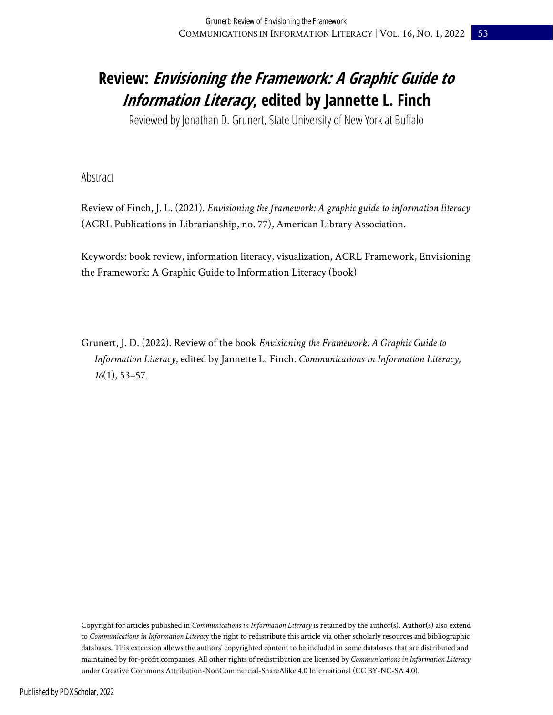### **Review: Envisioning the Framework: A Graphic Guide to Information Literacy, edited by Jannette L. Finch**

Reviewed by Jonathan D. Grunert, State University of New York at Buffalo

Abstract

Review of Finch, J. L. (2021). *Envisioning the framework: A graphic guide to information literacy* (ACRL Publications in Librarianship, no. 77), American Library Association.

Keywords: book review, information literacy, visualization, ACRL Framework, Envisioning the Framework: A Graphic Guide to Information Literacy (book)

Grunert, J. D. (2022). Review of the book *Envisioning the Framework: A Graphic Guide to Information Literacy*, edited by Jannette L. Finch. *Communications in Information Literacy, 16*(1), 53–57.

Copyright for articles published in *Communications in Information Literacy* is retained by the author(s). Author(s) also extend to *Communications in Information Literac*y the right to redistribute this article via other scholarly resources and bibliographic databases. This extension allows the authors' copyrighted content to be included in some databases that are distributed and maintained by for-profit companies. All other rights of redistribution are licensed by *Communications in Information Literacy* under Creative Commons Attribution-NonCommercial-ShareAlike 4.0 International (CC BY-NC-SA 4.0).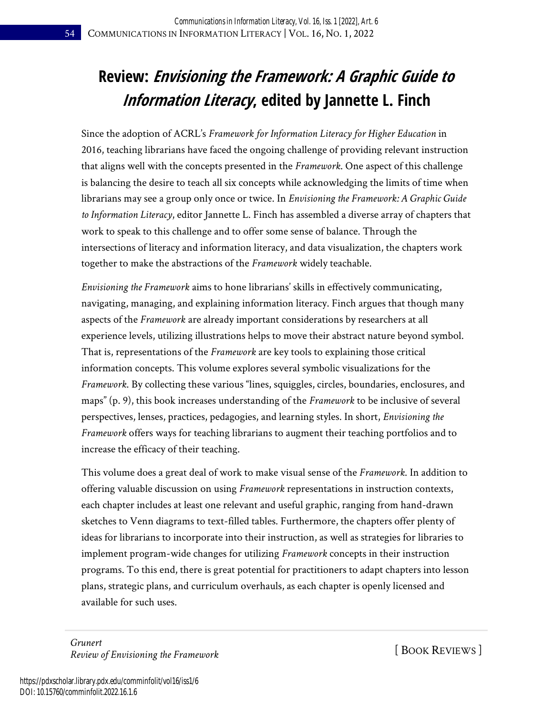## **Review: Envisioning the Framework: A Graphic Guide to Information Literacy, edited by Jannette L. Finch**

Since the adoption of ACRL's *Framework for Information Literacy for Higher Education* in 2016, teaching librarians have faced the ongoing challenge of providing relevant instruction that aligns well with the concepts presented in the *Framework*. One aspect of this challenge is balancing the desire to teach all six concepts while acknowledging the limits of time when librarians may see a group only once or twice. In *Envisioning the Framework: A Graphic Guide to Information Literacy*, editor Jannette L. Finch has assembled a diverse array of chapters that work to speak to this challenge and to offer some sense of balance. Through the intersections of literacy and information literacy, and data visualization, the chapters work together to make the abstractions of the *Framework* widely teachable.

*Envisioning the Framework* aims to hone librarians' skills in effectively communicating, navigating, managing, and explaining information literacy. Finch argues that though many aspects of the *Framework* are already important considerations by researchers at all experience levels, utilizing illustrations helps to move their abstract nature beyond symbol. That is, representations of the *Framework* are key tools to explaining those critical information concepts. This volume explores several symbolic visualizations for the *Framework*. By collecting these various "lines, squiggles, circles, boundaries, enclosures, and maps" (p. 9), this book increases understanding of the *Framework* to be inclusive of several perspectives, lenses, practices, pedagogies, and learning styles. In short, *Envisioning the Framework* offers ways for teaching librarians to augment their teaching portfolios and to increase the efficacy of their teaching.

This volume does a great deal of work to make visual sense of the *Framework*. In addition to offering valuable discussion on using *Framework* representations in instruction contexts, each chapter includes at least one relevant and useful graphic, ranging from hand-drawn sketches to Venn diagrams to text-filled tables. Furthermore, the chapters offer plenty of ideas for librarians to incorporate into their instruction, as well as strategies for libraries to implement program-wide changes for utilizing *Framework* concepts in their instruction programs. To this end, there is great potential for practitioners to adapt chapters into lesson plans, strategic plans, and curriculum overhauls, as each chapter is openly licensed and available for such uses.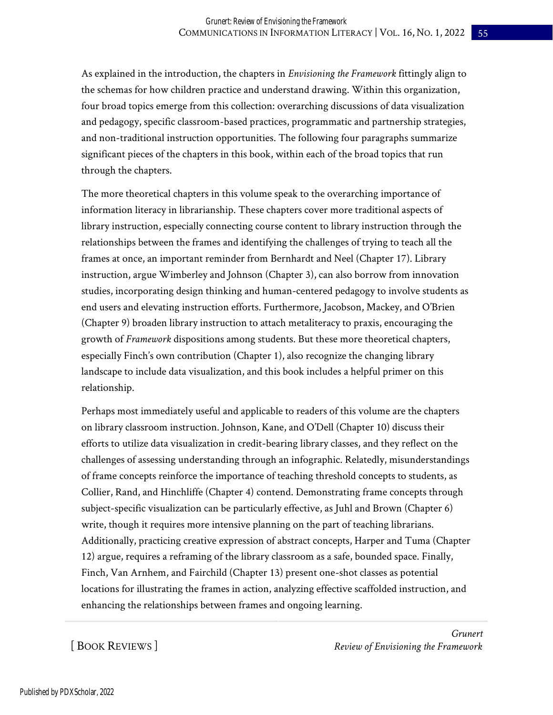As explained in the introduction, the chapters in *Envisioning the Framework* fittingly align to the schemas for how children practice and understand drawing. Within this organization, four broad topics emerge from this collection: overarching discussions of data visualization and pedagogy, specific classroom-based practices, programmatic and partnership strategies, and non-traditional instruction opportunities. The following four paragraphs summarize significant pieces of the chapters in this book, within each of the broad topics that run through the chapters.

The more theoretical chapters in this volume speak to the overarching importance of information literacy in librarianship. These chapters cover more traditional aspects of library instruction, especially connecting course content to library instruction through the relationships between the frames and identifying the challenges of trying to teach all the frames at once, an important reminder from Bernhardt and Neel (Chapter 17). Library instruction, argue Wimberley and Johnson (Chapter 3), can also borrow from innovation studies, incorporating design thinking and human-centered pedagogy to involve students as end users and elevating instruction efforts. Furthermore, Jacobson, Mackey, and O'Brien (Chapter 9) broaden library instruction to attach metaliteracy to praxis, encouraging the growth of *Framework* dispositions among students. But these more theoretical chapters, especially Finch's own contribution (Chapter 1), also recognize the changing library landscape to include data visualization, and this book includes a helpful primer on this relationship.

Perhaps most immediately useful and applicable to readers of this volume are the chapters on library classroom instruction. Johnson, Kane, and O'Dell (Chapter 10) discuss their efforts to utilize data visualization in credit-bearing library classes, and they reflect on the challenges of assessing understanding through an infographic. Relatedly, misunderstandings of frame concepts reinforce the importance of teaching threshold concepts to students, as Collier, Rand, and Hinchliffe (Chapter 4) contend. Demonstrating frame concepts through subject-specific visualization can be particularly effective, as Juhl and Brown (Chapter 6) write, though it requires more intensive planning on the part of teaching librarians. Additionally, practicing creative expression of abstract concepts, Harper and Tuma (Chapter 12) argue, requires a reframing of the library classroom as a safe, bounded space. Finally, Finch, Van Arnhem, and Fairchild (Chapter 13) present one-shot classes as potential locations for illustrating the frames in action, analyzing effective scaffolded instruction, and enhancing the relationships between frames and ongoing learning.

[ BOOK REVIEWS ]

*Grunert Review of Envisioning the Framework*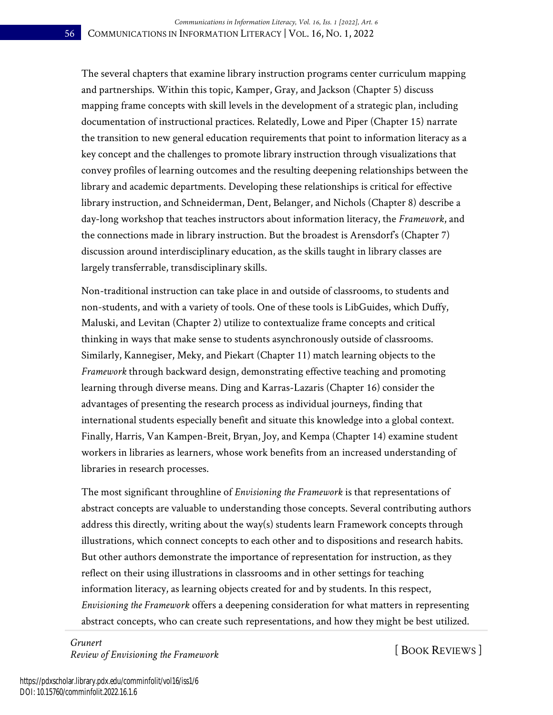The several chapters that examine library instruction programs center curriculum mapping and partnerships. Within this topic, Kamper, Gray, and Jackson (Chapter 5) discuss mapping frame concepts with skill levels in the development of a strategic plan, including documentation of instructional practices. Relatedly, Lowe and Piper (Chapter 15) narrate the transition to new general education requirements that point to information literacy as a key concept and the challenges to promote library instruction through visualizations that convey profiles of learning outcomes and the resulting deepening relationships between the library and academic departments. Developing these relationships is critical for effective library instruction, and Schneiderman, Dent, Belanger, and Nichols (Chapter 8) describe a day-long workshop that teaches instructors about information literacy, the *Framework*, and the connections made in library instruction. But the broadest is Arensdorf's (Chapter 7) discussion around interdisciplinary education, as the skills taught in library classes are largely transferrable, transdisciplinary skills.

Non-traditional instruction can take place in and outside of classrooms, to students and non-students, and with a variety of tools. One of these tools is LibGuides, which Duffy, Maluski, and Levitan (Chapter 2) utilize to contextualize frame concepts and critical thinking in ways that make sense to students asynchronously outside of classrooms. Similarly, Kannegiser, Meky, and Piekart (Chapter 11) match learning objects to the *Framework* through backward design, demonstrating effective teaching and promoting learning through diverse means. Ding and Karras-Lazaris (Chapter 16) consider the advantages of presenting the research process as individual journeys, finding that international students especially benefit and situate this knowledge into a global context. Finally, Harris, Van Kampen-Breit, Bryan, Joy, and Kempa (Chapter 14) examine student workers in libraries as learners, whose work benefits from an increased understanding of libraries in research processes.

The most significant throughline of *Envisioning the Framework* is that representations of abstract concepts are valuable to understanding those concepts. Several contributing authors address this directly, writing about the way(s) students learn Framework concepts through illustrations, which connect concepts to each other and to dispositions and research habits. But other authors demonstrate the importance of representation for instruction, as they reflect on their using illustrations in classrooms and in other settings for teaching information literacy, as learning objects created for and by students. In this respect, *Envisioning the Framework* offers a deepening consideration for what matters in representing abstract concepts, who can create such representations, and how they might be best utilized.

*Grunert Review of Envisioning the Framework* [ BOOK REVIEWS ]